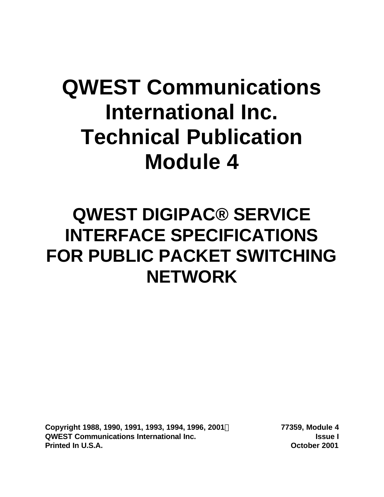# **QWEST Communications International Inc. Technical Publication Module 4**

# **QWEST DIGIPAC® SERVICE INTERFACE SPECIFICATIONS FOR PUBLIC PACKET SWITCHING NETWORK**

**Copyright 1988, 1990, 1991, 1993, 1994, 1996, 2001Ó 77359, Module 4 QWEST Communications International Inc. Issue I Printed In U.S.A. October 2001**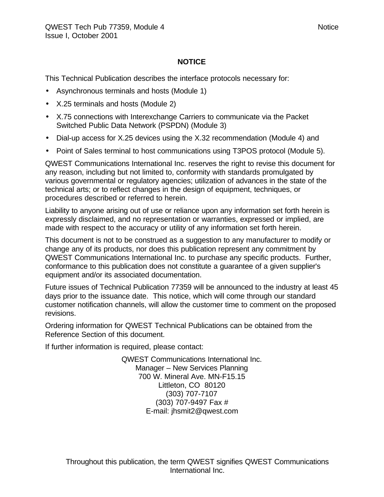#### **NOTICE**

This Technical Publication describes the interface protocols necessary for:

- Asynchronous terminals and hosts (Module 1)
- X.25 terminals and hosts (Module 2)
- X.75 connections with Interexchange Carriers to communicate via the Packet Switched Public Data Network (PSPDN) (Module 3)
- Dial-up access for X.25 devices using the X.32 recommendation (Module 4) and
- Point of Sales terminal to host communications using T3POS protocol (Module 5).

QWEST Communications International Inc. reserves the right to revise this document for any reason, including but not limited to, conformity with standards promulgated by various governmental or regulatory agencies; utilization of advances in the state of the technical arts; or to reflect changes in the design of equipment, techniques, or procedures described or referred to herein.

Liability to anyone arising out of use or reliance upon any information set forth herein is expressly disclaimed, and no representation or warranties, expressed or implied, are made with respect to the accuracy or utility of any information set forth herein.

This document is not to be construed as a suggestion to any manufacturer to modify or change any of its products, nor does this publication represent any commitment by QWEST Communications International Inc. to purchase any specific products. Further, conformance to this publication does not constitute a guarantee of a given supplier's equipment and/or its associated documentation.

Future issues of Technical Publication 77359 will be announced to the industry at least 45 days prior to the issuance date. This notice, which will come through our standard customer notification channels, will allow the customer time to comment on the proposed revisions.

Ordering information for QWEST Technical Publications can be obtained from the Reference Section of this document.

If further information is required, please contact:

QWEST Communications International Inc. Manager – New Services Planning 700 W. Mineral Ave. MN-F15.15 Littleton, CO 80120 (303) 707-7107 (303) 707-9497 Fax # E-mail: jhsmit2@qwest.com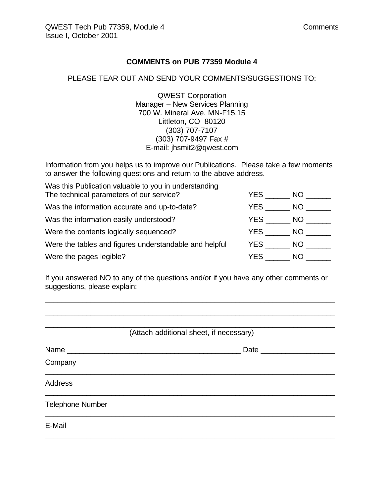#### **COMMENTS on PUB 77359 Module 4**

#### PLEASE TEAR OUT AND SEND YOUR COMMENTS/SUGGESTIONS TO:

QWEST Corporation Manager – New Services Planning 700 W. Mineral Ave. MN-F15.15 Littleton, CO 80120 (303) 707-7107 (303) 707-9497 Fax # E-mail: jhsmit2@qwest.com

Information from you helps us to improve our Publications. Please take a few moments to answer the following questions and return to the above address.

| Was this Publication valuable to you in understanding<br>The technical parameters of our service? | YES. | NO. |
|---------------------------------------------------------------------------------------------------|------|-----|
| Was the information accurate and up-to-date?                                                      | YES. | NO. |
| Was the information easily understood?                                                            | YES  | NO. |
| Were the contents logically sequenced?                                                            | YES  | NO. |
| Were the tables and figures understandable and helpful                                            | YES  | NO. |
| Were the pages legible?                                                                           | YES. | NO. |

If you answered NO to any of the questions and/or if you have any other comments or suggestions, please explain:

\_\_\_\_\_\_\_\_\_\_\_\_\_\_\_\_\_\_\_\_\_\_\_\_\_\_\_\_\_\_\_\_\_\_\_\_\_\_\_\_\_\_\_\_\_\_\_\_\_\_\_\_\_\_\_\_\_\_\_\_\_\_\_\_\_\_\_\_\_\_ \_\_\_\_\_\_\_\_\_\_\_\_\_\_\_\_\_\_\_\_\_\_\_\_\_\_\_\_\_\_\_\_\_\_\_\_\_\_\_\_\_\_\_\_\_\_\_\_\_\_\_\_\_\_\_\_\_\_\_\_\_\_\_\_\_\_\_\_\_\_

|                         | (Attach additional sheet, if necessary) |
|-------------------------|-----------------------------------------|
|                         | Date _____________                      |
| Company                 |                                         |
| <b>Address</b>          |                                         |
| <b>Telephone Number</b> |                                         |
| E-Mail                  |                                         |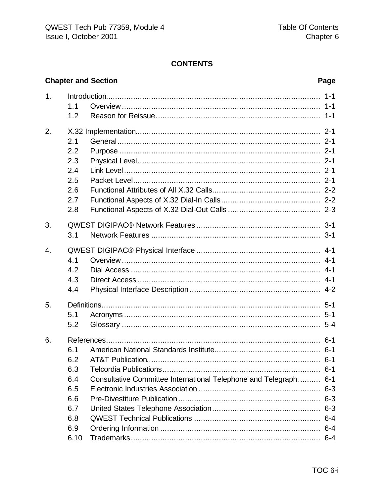# **CONTENTS**

# **Chapter and Section**

# Page

| 1. |      |                                                              | $1 - 1$ |
|----|------|--------------------------------------------------------------|---------|
|    | 1.1  |                                                              |         |
|    | 1.2  |                                                              |         |
| 2. |      |                                                              |         |
|    | 2.1  |                                                              |         |
|    | 2.2  |                                                              |         |
|    | 2.3  |                                                              |         |
|    | 2.4  |                                                              |         |
|    | 2.5  |                                                              |         |
|    | 2.6  |                                                              |         |
|    | 2.7  |                                                              |         |
|    | 2.8  |                                                              |         |
| 3. |      |                                                              |         |
|    | 3.1  |                                                              |         |
| 4. |      |                                                              |         |
|    | 4.1  |                                                              |         |
|    | 4.2  |                                                              |         |
|    | 4.3  |                                                              |         |
|    | 4.4  |                                                              |         |
| 5. |      |                                                              |         |
|    | 5.1  |                                                              |         |
|    | 5.2  |                                                              |         |
| 6. |      |                                                              |         |
|    | 6.1  |                                                              |         |
|    | 6.2  |                                                              |         |
|    | 6.3  |                                                              |         |
|    | 6.4  | Consultative Committee International Telephone and Telegraph | $6 - 1$ |
|    | 6.5  |                                                              | $6 - 3$ |
|    | 6.6  |                                                              |         |
|    | 6.7  |                                                              | $6 - 3$ |
|    | 6.8  |                                                              |         |
|    | 6.9  |                                                              | $6 - 4$ |
|    | 6.10 |                                                              | $6 - 4$ |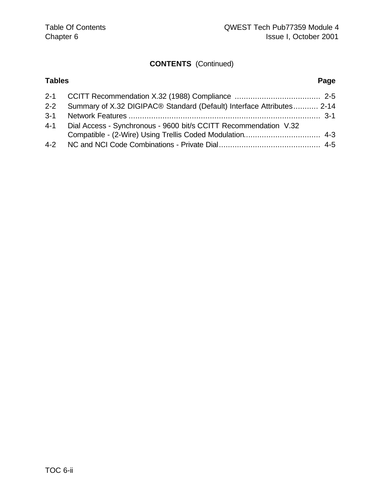# **CONTENTS** (Continued)

| <b>Tables</b> |                                                                       | Page |
|---------------|-----------------------------------------------------------------------|------|
|               |                                                                       |      |
| $2 - 2$       | Summary of X.32 DIGIPAC® Standard (Default) Interface Attributes 2-14 |      |
|               |                                                                       |      |
|               | 4-1 Dial Access - Synchronous - 9600 bit/s CCITT Recommendation V.32  |      |
|               |                                                                       |      |
|               |                                                                       |      |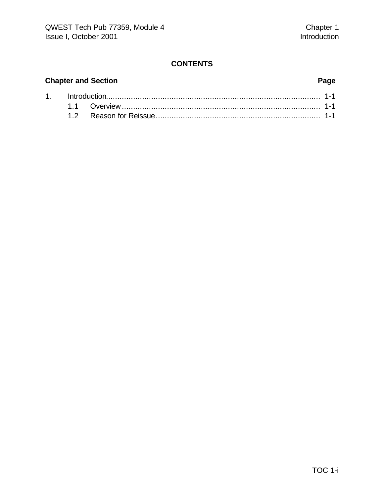# **CONTENTS**

# **Chapter and Section Page**

|  | 1. http://www.the.com/minimum/minimum/minimum/minimum/minimum/minimum/minimum/1-1 |  |
|--|-----------------------------------------------------------------------------------|--|
|  |                                                                                   |  |
|  |                                                                                   |  |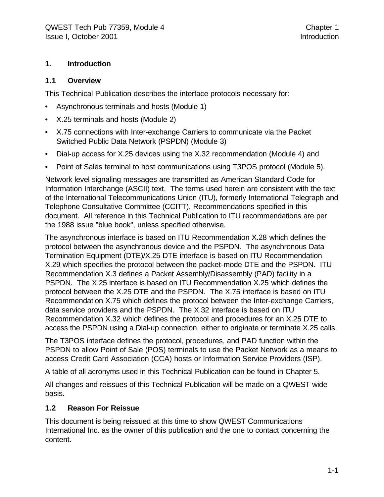#### **1. Introduction**

#### **1.1 Overview**

This Technical Publication describes the interface protocols necessary for:

- Asynchronous terminals and hosts (Module 1)
- X.25 terminals and hosts (Module 2)
- X.75 connections with Inter-exchange Carriers to communicate via the Packet Switched Public Data Network (PSPDN) (Module 3)
- Dial-up access for X.25 devices using the X.32 recommendation (Module 4) and
- Point of Sales terminal to host communications using T3POS protocol (Module 5).

Network level signaling messages are transmitted as American Standard Code for Information Interchange (ASCII) text. The terms used herein are consistent with the text of the International Telecommunications Union (ITU), formerly International Telegraph and Telephone Consultative Committee (CCITT), Recommendations specified in this document. All reference in this Technical Publication to ITU recommendations are per the 1988 issue "blue book", unless specified otherwise.

The asynchronous interface is based on ITU Recommendation X.28 which defines the protocol between the asynchronous device and the PSPDN. The asynchronous Data Termination Equipment (DTE)/X.25 DTE interface is based on ITU Recommendation X.29 which specifies the protocol between the packet-mode DTE and the PSPDN. ITU Recommendation X.3 defines a Packet Assembly/Disassembly (PAD) facility in a PSPDN. The X.25 interface is based on ITU Recommendation X.25 which defines the protocol between the X.25 DTE and the PSPDN. The X.75 interface is based on ITU Recommendation X.75 which defines the protocol between the Inter-exchange Carriers, data service providers and the PSPDN. The X.32 interface is based on ITU Recommendation X.32 which defines the protocol and procedures for an X.25 DTE to access the PSPDN using a Dial-up connection, either to originate or terminate X.25 calls.

The T3POS interface defines the protocol, procedures, and PAD function within the PSPDN to allow Point of Sale (POS) terminals to use the Packet Network as a means to access Credit Card Association (CCA) hosts or Information Service Providers (ISP).

A table of all acronyms used in this Technical Publication can be found in Chapter 5.

All changes and reissues of this Technical Publication will be made on a QWEST wide basis.

#### **1.2 Reason For Reissue**

This document is being reissued at this time to show QWEST Communications International Inc. as the owner of this publication and the one to contact concerning the content.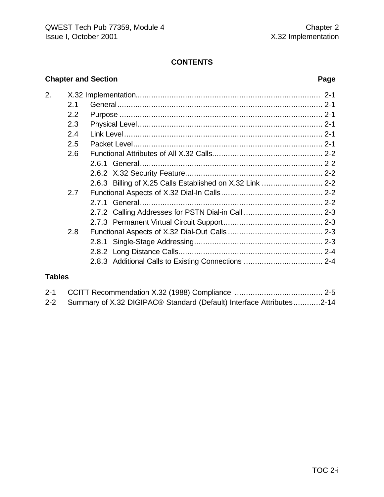# **CONTENTS**

### **Chapter and Section Page**

| 2. |     |                                                     |  |
|----|-----|-----------------------------------------------------|--|
|    | 2.1 |                                                     |  |
|    | 2.2 |                                                     |  |
|    | 2.3 |                                                     |  |
|    | 2.4 |                                                     |  |
|    | 2.5 |                                                     |  |
|    | 2.6 |                                                     |  |
|    |     |                                                     |  |
|    |     |                                                     |  |
|    |     |                                                     |  |
|    | 2.7 |                                                     |  |
|    |     |                                                     |  |
|    |     |                                                     |  |
|    |     |                                                     |  |
|    | 2.8 |                                                     |  |
|    |     |                                                     |  |
|    |     |                                                     |  |
|    |     | 2.8.3 Additional Calls to Existing Connections  2-4 |  |
|    |     |                                                     |  |

### **Tables**

| 2-2 Summary of X.32 DIGIPAC <sup>®</sup> Standard (Default) Interface Attributes2-14 |  |
|--------------------------------------------------------------------------------------|--|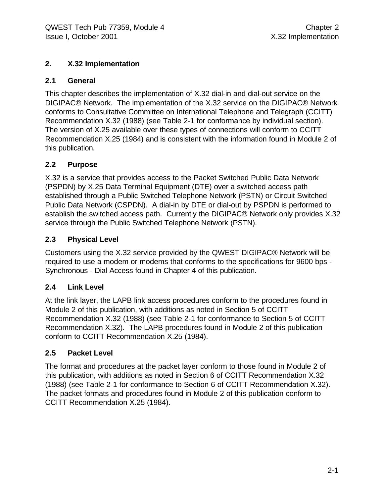### **2. X.32 Implementation**

### **2.1 General**

This chapter describes the implementation of X.32 dial-in and dial-out service on the DIGIPAC® Network. The implementation of the X.32 service on the DIGIPAC® Network conforms to Consultative Committee on International Telephone and Telegraph (CCITT) Recommendation X.32 (1988) (see Table 2-1 for conformance by individual section). The version of X.25 available over these types of connections will conform to CCITT Recommendation X.25 (1984) and is consistent with the information found in Module 2 of this publication.

## **2.2 Purpose**

X.32 is a service that provides access to the Packet Switched Public Data Network (PSPDN) by X.25 Data Terminal Equipment (DTE) over a switched access path established through a Public Switched Telephone Network (PSTN) or Circuit Switched Public Data Network (CSPDN). A dial-in by DTE or dial-out by PSPDN is performed to establish the switched access path. Currently the DIGIPAC® Network only provides X.32 service through the Public Switched Telephone Network (PSTN).

## **2.3 Physical Level**

Customers using the X.32 service provided by the QWEST DIGIPAC® Network will be required to use a modem or modems that conforms to the specifications for 9600 bps - Synchronous - Dial Access found in Chapter 4 of this publication.

# **2.4 Link Level**

At the link layer, the LAPB link access procedures conform to the procedures found in Module 2 of this publication, with additions as noted in Section 5 of CCITT Recommendation X.32 (1988) (see Table 2-1 for conformance to Section 5 of CCITT Recommendation X.32). The LAPB procedures found in Module 2 of this publication conform to CCITT Recommendation X.25 (1984).

# **2.5 Packet Level**

The format and procedures at the packet layer conform to those found in Module 2 of this publication, with additions as noted in Section 6 of CCITT Recommendation X.32 (1988) (see Table 2-1 for conformance to Section 6 of CCITT Recommendation X.32). The packet formats and procedures found in Module 2 of this publication conform to CCITT Recommendation X.25 (1984).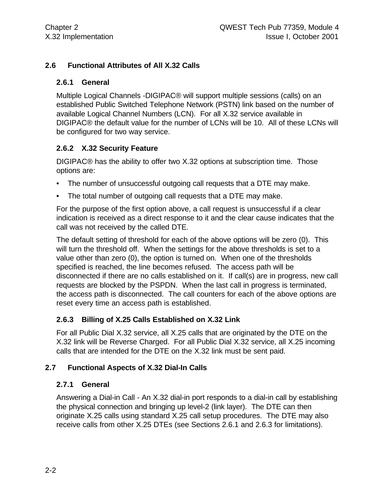### **2.6 Functional Attributes of All X.32 Calls**

#### **2.6.1 General**

Multiple Logical Channels -DIGIPAC® will support multiple sessions (calls) on an established Public Switched Telephone Network (PSTN) link based on the number of available Logical Channel Numbers (LCN). For all X.32 service available in DIGIPAC® the default value for the number of LCNs will be 10. All of these LCNs will be configured for two way service.

#### **2.6.2 X.32 Security Feature**

DIGIPAC® has the ability to offer two X.32 options at subscription time. Those options are:

- The number of unsuccessful outgoing call requests that a DTE may make.
- The total number of outgoing call requests that a DTE may make.

For the purpose of the first option above, a call request is unsuccessful if a clear indication is received as a direct response to it and the clear cause indicates that the call was not received by the called DTE.

The default setting of threshold for each of the above options will be zero (0). This will turn the threshold off. When the settings for the above thresholds is set to a value other than zero (0), the option is turned on. When one of the thresholds specified is reached, the line becomes refused. The access path will be disconnected if there are no calls established on it. If call(s) are in progress, new call requests are blocked by the PSPDN. When the last call in progress is terminated, the access path is disconnected. The call counters for each of the above options are reset every time an access path is established.

#### **2.6.3 Billing of X.25 Calls Established on X.32 Link**

For all Public Dial X.32 service, all X.25 calls that are originated by the DTE on the X.32 link will be Reverse Charged. For all Public Dial X.32 service, all X.25 incoming calls that are intended for the DTE on the X.32 link must be sent paid.

#### **2.7 Functional Aspects of X.32 Dial-In Calls**

#### **2.7.1 General**

Answering a Dial-in Call - An X.32 dial-in port responds to a dial-in call by establishing the physical connection and bringing up level-2 (link layer). The DTE can then originate X.25 calls using standard X.25 call setup procedures. The DTE may also receive calls from other X.25 DTEs (see Sections 2.6.1 and 2.6.3 for limitations).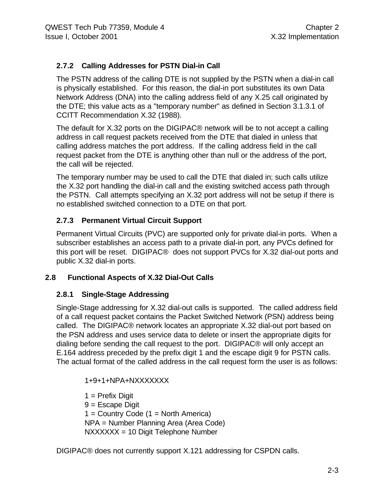# **2.7.2 Calling Addresses for PSTN Dial-in Call**

The PSTN address of the calling DTE is not supplied by the PSTN when a dial-in call is physically established. For this reason, the dial-in port substitutes its own Data Network Address (DNA) into the calling address field of any X.25 call originated by the DTE; this value acts as a "temporary number" as defined in Section 3.1.3.1 of CCITT Recommendation X.32 (1988).

The default for X.32 ports on the DIGIPAC® network will be to not accept a calling address in call request packets received from the DTE that dialed in unless that calling address matches the port address. If the calling address field in the call request packet from the DTE is anything other than null or the address of the port, the call will be rejected.

The temporary number may be used to call the DTE that dialed in; such calls utilize the X.32 port handling the dial-in call and the existing switched access path through the PSTN. Call attempts specifying an X.32 port address will not be setup if there is no established switched connection to a DTE on that port.

# **2.7.3 Permanent Virtual Circuit Support**

Permanent Virtual Circuits (PVC) are supported only for private dial-in ports. When a subscriber establishes an access path to a private dial-in port, any PVCs defined for this port will be reset. DIGIPAC® does not support PVCs for X.32 dial-out ports and public X.32 dial-in ports.

# **2.8 Functional Aspects of X.32 Dial-Out Calls**

#### **2.8.1 Single-Stage Addressing**

Single-Stage addressing for X.32 dial-out calls is supported. The called address field of a call request packet contains the Packet Switched Network (PSN) address being called. The DIGIPAC® network locates an appropriate X.32 dial-out port based on the PSN address and uses service data to delete or insert the appropriate digits for dialing before sending the call request to the port. DIGIPAC® will only accept an E.164 address preceded by the prefix digit 1 and the escape digit 9 for PSTN calls. The actual format of the called address in the call request form the user is as follows:

1+9+1+NPA+NXXXXXXX

 $1$  = Prefix Digit 9 = Escape Digit  $1 =$  Country Code  $(1 =$  North America) NPA = Number Planning Area (Area Code) NXXXXXX = 10 Digit Telephone Number

DIGIPAC® does not currently support X.121 addressing for CSPDN calls.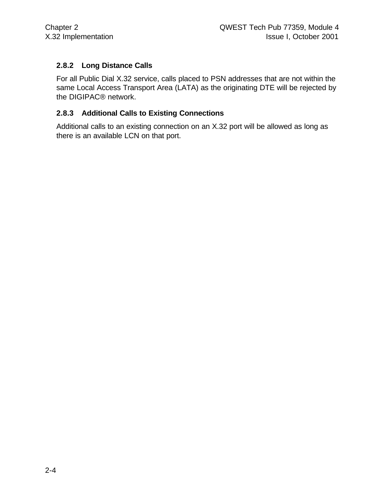# **2.8.2 Long Distance Calls**

For all Public Dial X.32 service, calls placed to PSN addresses that are not within the same Local Access Transport Area (LATA) as the originating DTE will be rejected by the DIGIPAC® network.

#### **2.8.3 Additional Calls to Existing Connections**

Additional calls to an existing connection on an X.32 port will be allowed as long as there is an available LCN on that port.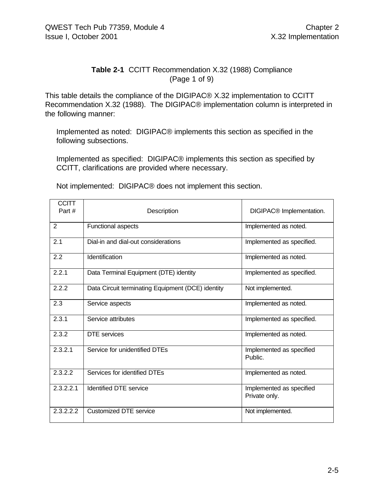#### **Table 2-1** CCITT Recommendation X.32 (1988) Compliance (Page 1 of 9)

This table details the compliance of the DIGIPAC® X.32 implementation to CCITT Recommendation X.32 (1988). The DIGIPAC® implementation column is interpreted in the following manner:

Implemented as noted: DIGIPAC® implements this section as specified in the following subsections.

Implemented as specified: DIGIPAC® implements this section as specified by CCITT, clarifications are provided where necessary.

Not implemented: DIGIPAC® does not implement this section.

| <b>CCITT</b><br>Part # | Description                                       | DIGIPAC <sup>®</sup> Implementation.      |
|------------------------|---------------------------------------------------|-------------------------------------------|
| $\overline{2}$         | Functional aspects                                | Implemented as noted.                     |
| 2.1                    | Dial-in and dial-out considerations               | Implemented as specified.                 |
| 2.2                    | Identification                                    | Implemented as noted.                     |
| 2.2.1                  | Data Terminal Equipment (DTE) identity            | Implemented as specified.                 |
| 2.2.2                  | Data Circuit terminating Equipment (DCE) identity | Not implemented.                          |
| 2.3                    | Service aspects                                   | Implemented as noted.                     |
| 2.3.1                  | Service attributes                                | Implemented as specified.                 |
| 2.3.2                  | <b>DTE</b> services                               | Implemented as noted.                     |
| 2.3.2.1                | Service for unidentified DTEs                     | Implemented as specified<br>Public.       |
| 2.3.2.2                | Services for identified DTEs                      | Implemented as noted.                     |
| 2.3.2.2.1              | <b>Identified DTE service</b>                     | Implemented as specified<br>Private only. |
| 2.3.2.2.2              | <b>Customized DTE service</b>                     | Not implemented.                          |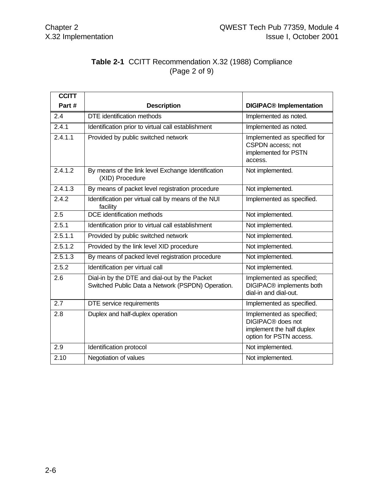# **Table 2-1** CCITT Recommendation X.32 (1988) Compliance (Page 2 of 9)

| <b>CCITT</b> |                                                                                                    |                                                                                                                    |
|--------------|----------------------------------------------------------------------------------------------------|--------------------------------------------------------------------------------------------------------------------|
| Part#        | <b>Description</b>                                                                                 | <b>DIGIPAC<sup>®</sup></b> Implementation                                                                          |
| 2.4          | DTE identification methods                                                                         | Implemented as noted.                                                                                              |
| 2.4.1        | Identification prior to virtual call establishment                                                 | Implemented as noted.                                                                                              |
| 2.4.1.1      | Provided by public switched network                                                                | Implemented as specified for<br>CSPDN access; not<br>implemented for PSTN<br>access.                               |
| 2.4.1.2      | By means of the link level Exchange Identification<br>(XID) Procedure                              | Not implemented.                                                                                                   |
| 2.4.1.3      | By means of packet level registration procedure                                                    | Not implemented.                                                                                                   |
| 2.4.2        | Identification per virtual call by means of the NUI<br>facility                                    | Implemented as specified.                                                                                          |
| 2.5          | <b>DCE</b> identification methods                                                                  | Not implemented.                                                                                                   |
| 2.5.1        | Identification prior to virtual call establishment                                                 | Not implemented.                                                                                                   |
| 2.5.1.1      | Provided by public switched network                                                                | Not implemented.                                                                                                   |
| 2.5.1.2      | Provided by the link level XID procedure                                                           | Not implemented.                                                                                                   |
| 2.5.1.3      | By means of packed level registration procedure                                                    | Not implemented.                                                                                                   |
| 2.5.2        | Identification per virtual call                                                                    | Not implemented.                                                                                                   |
| 2.6          | Dial-in by the DTE and dial-out by the Packet<br>Switched Public Data a Network (PSPDN) Operation. | Implemented as specified;<br>DIGIPAC <sup>®</sup> implements both<br>dial-in and dial-out.                         |
| 2.7          | DTE service requirements                                                                           | Implemented as specified.                                                                                          |
| 2.8          | Duplex and half-duplex operation                                                                   | Implemented as specified;<br>DIGIPAC <sup>®</sup> does not<br>implement the half duplex<br>option for PSTN access. |
| 2.9          | Identification protocol                                                                            | Not implemented.                                                                                                   |
| 2.10         | Negotiation of values                                                                              | Not implemented.                                                                                                   |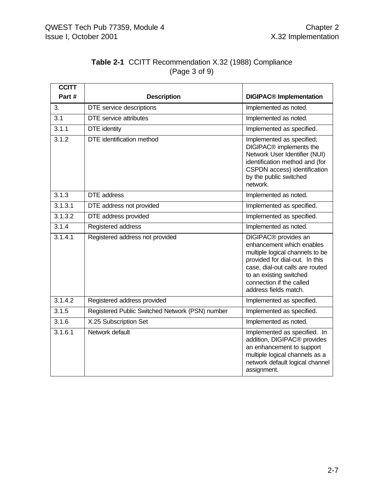| <b>CCITT</b>         |                                                 |                                                                                                                                                                                                                                                       |
|----------------------|-------------------------------------------------|-------------------------------------------------------------------------------------------------------------------------------------------------------------------------------------------------------------------------------------------------------|
| Part#                | <b>Description</b>                              | <b>DIGIPAC<sup>®</sup></b> Implementation                                                                                                                                                                                                             |
| 3.                   | DTE service descriptions                        | Implemented as noted.                                                                                                                                                                                                                                 |
| 3.1                  | <b>DTE</b> service attributes                   | Implemented as noted.                                                                                                                                                                                                                                 |
| 3.1.1                | <b>DTE</b> identity                             | Implemented as specified.                                                                                                                                                                                                                             |
| 3.1.2                | DTE identification method                       | Implemented as specified;<br>DIGIPAC <sup>®</sup> implements the<br>Network User Identifier (NUI)<br>identification method and (for<br>CSPDN access) identification<br>by the public switched<br>network.                                             |
| 3.1.3                | <b>DTE</b> address                              | Implemented as noted.                                                                                                                                                                                                                                 |
| 3.1.3.1              | DTE address not provided                        | Implemented as specified.                                                                                                                                                                                                                             |
| $\overline{3.1.3.2}$ | DTE address provided                            | Implemented as specified.                                                                                                                                                                                                                             |
| 3.1.4                | Registered address                              | Implemented as noted.                                                                                                                                                                                                                                 |
| 3.1.4.1              | Registered address not provided                 | DIGIPAC <sup>®</sup> provides an<br>enhancement which enables<br>multiple logical channels to be<br>provided for dial-out. In this<br>case, dial-out calls are routed<br>to an existing switched<br>connection if the called<br>address fields match. |
| 3.1.4.2              | Registered address provided                     | Implemented as specified.                                                                                                                                                                                                                             |
| 3.1.5                | Registered Public Switched Network (PSN) number | Implemented as specified.                                                                                                                                                                                                                             |
| 3.1.6                | X.25 Subscription Set                           | Implemented as noted.                                                                                                                                                                                                                                 |
| 3.1.6.1              | Network default                                 | Implemented as specified. In<br>addition, DIGIPAC <sup>®</sup> provides<br>an enhancement to support<br>multiple logical channels as a<br>network default logical channel<br>assignment.                                                              |

### **Table 2-1** CCITT Recommendation X.32 (1988) Compliance (Page 3 of 9)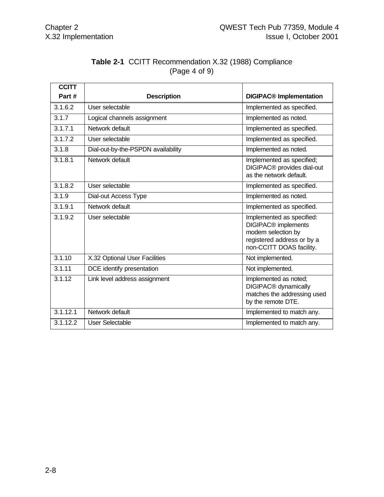| <b>Table 2-1 CCITT Recommendation X.32 (1988) Compliance</b> |
|--------------------------------------------------------------|
| (Page 4 of 9)                                                |

| <b>CCITT</b> |                                    |                                                                                                                                              |
|--------------|------------------------------------|----------------------------------------------------------------------------------------------------------------------------------------------|
| Part#        | <b>Description</b>                 | <b>DIGIPAC<sup>®</sup></b> Implementation                                                                                                    |
| 3.1.6.2      | User selectable                    | Implemented as specified.                                                                                                                    |
| 3.1.7        | Logical channels assignment        | Implemented as noted.                                                                                                                        |
| 3.1.7.1      | Network default                    | Implemented as specified.                                                                                                                    |
| 3.1.7.2      | User selectable                    | Implemented as specified.                                                                                                                    |
| 3.1.8        | Dial-out-by-the-PSPDN availability | Implemented as noted.                                                                                                                        |
| 3.1.8.1      | Network default                    | Implemented as specified;<br>DIGIPAC <sup>®</sup> provides dial-out<br>as the network default.                                               |
| 3.1.8.2      | User selectable                    | Implemented as specified.                                                                                                                    |
| 3.1.9        | Dial-out Access Type               | Implemented as noted.                                                                                                                        |
| 3.1.9.1      | Network default                    | Implemented as specified.                                                                                                                    |
| 3.1.9.2      | User selectable                    | Implemented as specified:<br>DIGIPAC <sup>®</sup> implements<br>modem selection by<br>registered address or by a<br>non-CCITT DOAS facility. |
| 3.1.10       | X.32 Optional User Facilities      | Not implemented.                                                                                                                             |
| 3.1.11       | DCE identify presentation          | Not implemented.                                                                                                                             |
| 3.1.12       | Link level address assignment      | Implemented as noted;<br>DIGIPAC <sup>®</sup> dynamically<br>matches the addressing used<br>by the remote DTE.                               |
| 3.1.12.1     | Network default                    | Implemented to match any.                                                                                                                    |
| 3.1.12.2     | User Selectable                    | Implemented to match any.                                                                                                                    |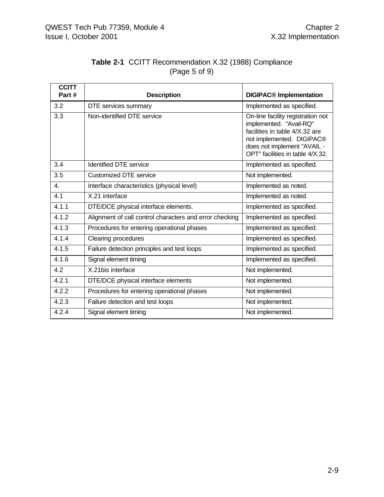| <b>Table 2-1 CCITT Recommendation X.32 (1988) Compliance</b> |  |
|--------------------------------------------------------------|--|
| (Page 5 of 9)                                                |  |

| <b>CCITT</b><br>Part# | <b>Description</b>                                      | <b>DIGIPAC<sup>®</sup></b> Implementation                                                                                                                                                      |
|-----------------------|---------------------------------------------------------|------------------------------------------------------------------------------------------------------------------------------------------------------------------------------------------------|
| 3.2                   | DTE services summary                                    | Implemented as specified.                                                                                                                                                                      |
| 3.3                   | Non-identified DTE service                              | On-line facility registration not<br>implemented. "Avail-RQ"<br>facilities in table 4/X.32 are<br>not implemented. DIGIPAC®<br>does not implement "AVAIL -<br>OPT" facilities in table 4/X.32. |
| 3.4                   | <b>Identified DTE service</b>                           | Implemented as specified.                                                                                                                                                                      |
| 3.5                   | <b>Customized DTE service</b>                           | Not implemented.                                                                                                                                                                               |
| $\overline{4}$ .      | Interface characteristics (physical level)              | Implemented as noted.                                                                                                                                                                          |
| 4.1                   | X.21 interface                                          | Implemented as noted.                                                                                                                                                                          |
| 4.1.1                 | DTE/DCE physical interface elements.                    | Implemented as specified.                                                                                                                                                                      |
| 4.1.2                 | Alignment of call control characters and error checking | Implemented as specified.                                                                                                                                                                      |
| 4.1.3                 | Procedures for entering operational phases              | Implemented as specified.                                                                                                                                                                      |
| 4.1.4                 | Clearing procedures                                     | Implemented as specified.                                                                                                                                                                      |
| 4.1.5                 | Failure detection principles and test loops             | Implemented as specified.                                                                                                                                                                      |
| 4.1.6                 | Signal element timing                                   | Implemented as specified.                                                                                                                                                                      |
| 4.2                   | X.21bis interface                                       | Not implemented.                                                                                                                                                                               |
| 4.2.1                 | DTE/DCE physical interface elements                     | Not implemented.                                                                                                                                                                               |
| 4.2.2                 | Procedures for entering operational phases              | Not implemented.                                                                                                                                                                               |
| 4.2.3                 | Failure detection and test loops                        | Not implemented.                                                                                                                                                                               |
| 4.2.4                 | Signal element timing                                   | Not implemented.                                                                                                                                                                               |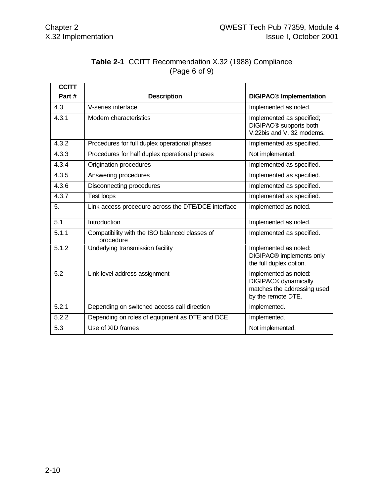|               | <b>Table 2-1 CCITT Recommendation X.32 (1988) Compliance</b> |  |
|---------------|--------------------------------------------------------------|--|
| (Page 6 of 9) |                                                              |  |

| <b>CCITT</b> |                                                             |                                                                                                                |
|--------------|-------------------------------------------------------------|----------------------------------------------------------------------------------------------------------------|
| Part#        | <b>Description</b>                                          | <b>DIGIPAC<sup>®</sup></b> Implementation                                                                      |
| 4.3          | V-series interface                                          | Implemented as noted.                                                                                          |
| 4.3.1        | Modem characteristics                                       | Implemented as specified;<br>DIGIPAC <sup>®</sup> supports both<br>V.22bis and V. 32 modems.                   |
| 4.3.2        | Procedures for full duplex operational phases               | Implemented as specified.                                                                                      |
| 4.3.3        | Procedures for half duplex operational phases               | Not implemented.                                                                                               |
| 4.3.4        | Origination procedures                                      | Implemented as specified.                                                                                      |
| 4.3.5        | Answering procedures                                        | Implemented as specified.                                                                                      |
| 4.3.6        | Disconnecting procedures                                    | Implemented as specified.                                                                                      |
| 4.3.7        | <b>Test loops</b>                                           | Implemented as specified.                                                                                      |
| 5.           | Link access procedure across the DTE/DCE interface          | Implemented as noted.                                                                                          |
| 5.1          | Introduction                                                | Implemented as noted.                                                                                          |
| 5.1.1        | Compatibility with the ISO balanced classes of<br>procedure | Implemented as specified.                                                                                      |
| 5.1.2        | Underlying transmission facility                            | Implemented as noted:<br>DIGIPAC <sup>®</sup> implements only<br>the full duplex option.                       |
| 5.2          | Link level address assignment                               | Implemented as noted:<br>DIGIPAC <sup>®</sup> dynamically<br>matches the addressing used<br>by the remote DTE. |
| 5.2.1        | Depending on switched access call direction                 | Implemented.                                                                                                   |
| 5.2.2        | Depending on roles of equipment as DTE and DCE              | Implemented.                                                                                                   |
| 5.3          | Use of XID frames                                           | Not implemented.                                                                                               |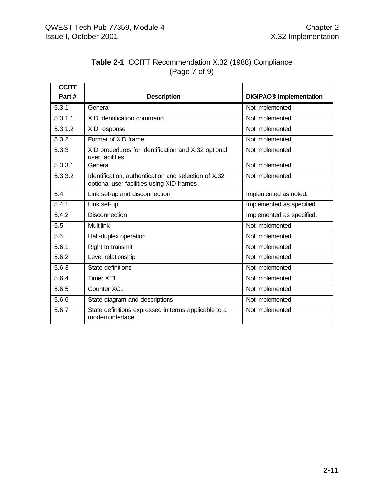| <b>Table 2-1 CCITT Recommendation X.32 (1988) Compliance</b> |  |  |
|--------------------------------------------------------------|--|--|
| (Page 7 of 9)                                                |  |  |

| <b>CCITT</b> |                                                                                                   |                                |
|--------------|---------------------------------------------------------------------------------------------------|--------------------------------|
| Part#        | <b>Description</b>                                                                                | <b>DIGIPAC®</b> Implementation |
| 5.3.1        | General                                                                                           | Not implemented.               |
| 5.3.1.1      | XID identification command                                                                        | Not implemented.               |
| 5.3.1.2      | XID response                                                                                      | Not implemented.               |
| 5.3.2        | Format of XID frame                                                                               | Not implemented.               |
| 5.3.3        | XID procedures for identification and X.32 optional<br>user facilities                            | Not implemented.               |
| 5.3.3.1      | General                                                                                           | Not implemented.               |
| 5.3.3.2      | Identification, authentication and selection of X.32<br>optional user facilities using XID frames | Not implemented.               |
| 5.4          | Link set-up and disconnection                                                                     | Implemented as noted.          |
| 5.4.1        | Link set-up                                                                                       | Implemented as specified.      |
| 5.4.2        | <b>Disconnection</b>                                                                              | Implemented as specified.      |
| 5.5          | <b>Multilink</b>                                                                                  | Not implemented.               |
| 5.6.         | Half-duplex operation                                                                             | Not implemented.               |
| 5.6.1        | Right to transmit                                                                                 | Not implemented.               |
| 5.6.2        | Level relationship                                                                                | Not implemented.               |
| 5.6.3        | State definitions                                                                                 | Not implemented.               |
| 5.6.4        | Timer XT1                                                                                         | Not implemented.               |
| 5.6.5        | Counter XC1                                                                                       | Not implemented.               |
| 5.6.6        | State diagram and descriptions                                                                    | Not implemented.               |
| 5.6.7        | State definitions expressed in terms applicable to a<br>modem interface                           | Not implemented.               |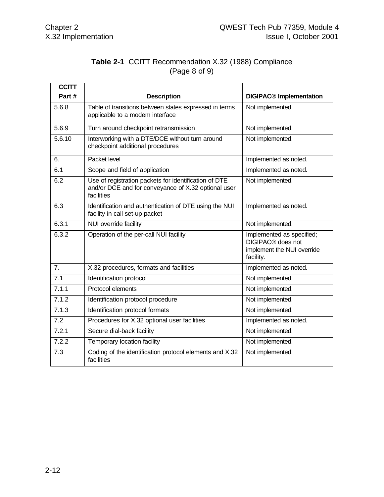# **Table 2-1** CCITT Recommendation X.32 (1988) Compliance (Page 8 of 9)

| <b>CCITT</b> |                                                                                                                            |                                                                                                       |
|--------------|----------------------------------------------------------------------------------------------------------------------------|-------------------------------------------------------------------------------------------------------|
| Part#        | <b>Description</b>                                                                                                         | <b>DIGIPAC<sup>®</sup></b> Implementation                                                             |
| 5.6.8        | Table of transitions between states expressed in terms<br>applicable to a modem interface                                  | Not implemented.                                                                                      |
| 5.6.9        | Turn around checkpoint retransmission                                                                                      | Not implemented.                                                                                      |
| 5.6.10       | Interworking with a DTE/DCE without turn around<br>checkpoint additional procedures                                        | Not implemented.                                                                                      |
| 6.           | Packet level                                                                                                               | Implemented as noted.                                                                                 |
| 6.1          | Scope and field of application                                                                                             | Implemented as noted.                                                                                 |
| 6.2          | Use of registration packets for identification of DTE<br>and/or DCE and for conveyance of X.32 optional user<br>facilities | Not implemented.                                                                                      |
| 6.3          | Identification and authentication of DTE using the NUI<br>facility in call set-up packet                                   | Implemented as noted.                                                                                 |
| 6.3.1        | NUI override facility                                                                                                      | Not implemented.                                                                                      |
| 6.3.2        | Operation of the per-call NUI facility                                                                                     | Implemented as specified;<br>DIGIPAC <sup>®</sup> does not<br>implement the NUI override<br>facility. |
| 7.           | X.32 procedures, formats and facilities                                                                                    | Implemented as noted.                                                                                 |
| 7.1          | Identification protocol                                                                                                    | Not implemented.                                                                                      |
| 7.1.1        | Protocol elements                                                                                                          | Not implemented.                                                                                      |
| 7.1.2        | Identification protocol procedure                                                                                          | Not implemented.                                                                                      |
| 7.1.3        | Identification protocol formats                                                                                            | Not implemented.                                                                                      |
| 7.2          | Procedures for X.32 optional user facilities                                                                               | Implemented as noted.                                                                                 |
| 7.2.1        | Secure dial-back facility                                                                                                  | Not implemented.                                                                                      |
| 7.2.2        | Temporary location facility                                                                                                | Not implemented.                                                                                      |
| 7.3          | Coding of the identification protocol elements and X.32<br>facilities                                                      | Not implemented.                                                                                      |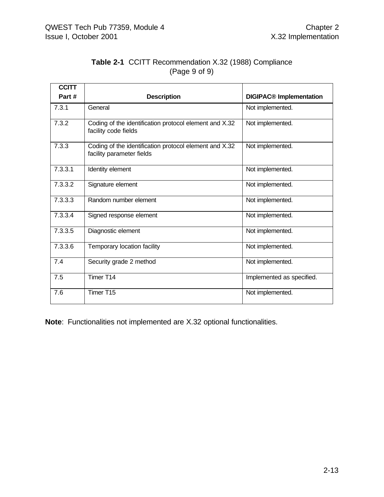| <b>Table 2-1 CCITT Recommendation X.32 (1988) Compliance</b> |  |  |
|--------------------------------------------------------------|--|--|
| (Page 9 of 9)                                                |  |  |

| <b>CCITT</b> |                                                                                     |                                           |
|--------------|-------------------------------------------------------------------------------------|-------------------------------------------|
| Part#        | <b>Description</b>                                                                  | <b>DIGIPAC<sup>®</sup></b> Implementation |
| 7.3.1        | General                                                                             | Not implemented.                          |
| 7.3.2        | Coding of the identification protocol element and X.32<br>facility code fields      | Not implemented.                          |
| 7.3.3        | Coding of the identification protocol element and X.32<br>facility parameter fields | Not implemented.                          |
| 7.3.3.1      | Identity element                                                                    | Not implemented.                          |
| 7.3.3.2      | Signature element                                                                   | Not implemented.                          |
| 7.3.3.3      | Random number element                                                               | Not implemented.                          |
| 7.3.3.4      | Signed response element                                                             | Not implemented.                          |
| 7.3.3.5      | Diagnostic element                                                                  | Not implemented.                          |
| 7.3.3.6      | Temporary location facility                                                         | Not implemented.                          |
| 7.4          | Security grade 2 method                                                             | Not implemented.                          |
| 7.5          | Timer T14                                                                           | Implemented as specified.                 |
| 7.6          | Timer T15                                                                           | Not implemented.                          |

**Note**: Functionalities not implemented are X.32 optional functionalities.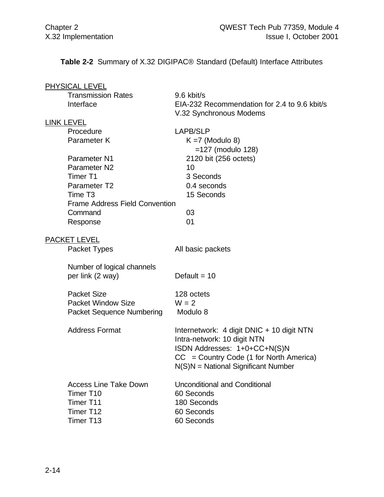**Table 2-2** Summary of X.32 DIGIPAC® Standard (Default) Interface Attributes

| <b>PHYSICAL LEVEL</b>                 |                                                                                    |
|---------------------------------------|------------------------------------------------------------------------------------|
| <b>Transmission Rates</b>             | 9.6 kbit/s                                                                         |
| Interface                             | EIA-232 Recommendation for 2.4 to 9.6 kbit/s                                       |
|                                       | V.32 Synchronous Modems                                                            |
| <b>LINK LEVEL</b>                     |                                                                                    |
| Procedure                             | <b>LAPB/SLP</b>                                                                    |
| Parameter K                           | $K = 7$ (Modulo 8)                                                                 |
|                                       | $=127$ (modulo 128)                                                                |
| Parameter N1                          | 2120 bit (256 octets)                                                              |
| Parameter <sub>N2</sub>               | 10                                                                                 |
| Timer T1                              | 3 Seconds                                                                          |
| Parameter T2                          | 0.4 seconds                                                                        |
| Time T <sub>3</sub>                   | 15 Seconds                                                                         |
| <b>Frame Address Field Convention</b> |                                                                                    |
| Command                               | 03                                                                                 |
| Response                              | 01                                                                                 |
| <b>PACKET LEVEL</b>                   |                                                                                    |
| Packet Types                          | All basic packets                                                                  |
| Number of logical channels            |                                                                                    |
| per link (2 way)                      | Default = $10$                                                                     |
| <b>Packet Size</b>                    | 128 octets                                                                         |
| <b>Packet Window Size</b>             | $W = 2$                                                                            |
| <b>Packet Sequence Numbering</b>      | Modulo 8                                                                           |
| <b>Address Format</b>                 | Internetwork: 4 digit DNIC + 10 digit NTN                                          |
|                                       | Intra-network: 10 digit NTN                                                        |
|                                       | ISDN Addresses: 1+0+CC+N(S)N                                                       |
|                                       | $CC = Country Code (1 for North America)$<br>$N(S)N = National Significant Number$ |
| <b>Access Line Take Down</b>          | <b>Unconditional and Conditional</b>                                               |
| Timer T10                             | 60 Seconds                                                                         |
| Timer T11                             | 180 Seconds                                                                        |
| Timer T12                             | 60 Seconds                                                                         |
| Timer T13                             | 60 Seconds                                                                         |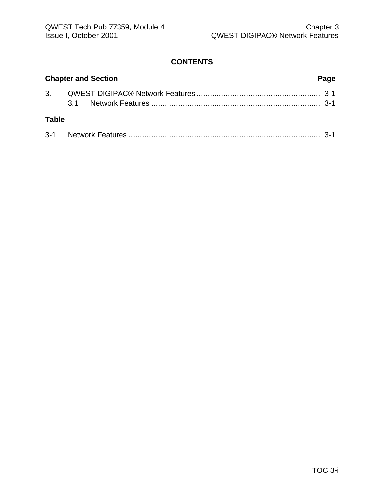#### **CONTENTS**

| <b>Chapter and Section</b> |  | Page |  |
|----------------------------|--|------|--|
|                            |  |      |  |
| <b>Table</b>               |  |      |  |
|                            |  |      |  |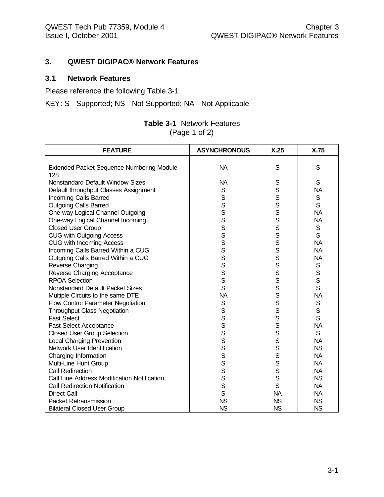#### **3. QWEST DIGIPAC® Network Features**

#### **3.1 Network Features**

Please reference the following Table 3-1

KEY: S - Supported; NS - Not Supported; NA - Not Applicable

| <b>Table 3-1</b> Network Features |
|-----------------------------------|
| (Page 1 of 2)                     |

| <b>FEATURE</b>                                   | <b>ASYNCHRONOUS</b> | X.25      | X.75         |
|--------------------------------------------------|---------------------|-----------|--------------|
|                                                  |                     |           |              |
| <b>Extended Packet Sequence Numbering Module</b> | <b>NA</b>           | S         | S            |
| 128                                              |                     |           |              |
| <b>Nonstandard Default Window Sizes</b>          | <b>NA</b>           | S         | S            |
| Default throughput Classes Assignment            | S                   | S         | <b>NA</b>    |
| Incoming Calls Barred                            | S                   | S         | $\mathsf S$  |
| <b>Outgoing Calls Barred</b>                     | $\mathbf S$         | S         | S            |
| One-way Logical Channel Outgoing                 | S                   | S         | <b>NA</b>    |
| One-way Logical Channel Incoming                 | S                   | S         | <b>NA</b>    |
| <b>Closed User Group</b>                         | S                   | S         | S            |
| <b>CUG with Outgoing Access</b>                  | S                   | S         | S            |
| <b>CUG with Incoming Access</b>                  | S                   | S         | <b>NA</b>    |
| Incoming Calls Barred Within a CUG               | S                   | S         | <b>NA</b>    |
| Outgoing Calls Barred Within a CUG               | S                   | S         | <b>NA</b>    |
| Reverse Charging                                 | S                   | S         | $\mathsf S$  |
| Reverse Charging Acceptance                      | S                   | S         | $\mathsf S$  |
| <b>RPOA Selection</b>                            | S                   | S         | $\mathsf{s}$ |
| <b>Nonstandard Default Packet Sizes</b>          | S                   | S         | S            |
| Multiple Circuits to the same DTE                | <b>NA</b>           | s<br>s    | <b>NA</b>    |
| Flow Control Parameter Negotiation               | $\mathbb S$         |           | S            |
| <b>Throughput Class Negotiation</b>              | S                   | S         | S            |
| <b>Fast Select</b>                               | S                   | S         | S            |
| <b>Fast Select Acceptance</b>                    | S                   | S         | <b>NA</b>    |
| <b>Closed User Group Selection</b>               | S                   | S         | $\mathsf{S}$ |
| <b>Local Charging Prevention</b>                 | S                   | S         | <b>NA</b>    |
| Network User Identification                      | S                   | S         | <b>NS</b>    |
| Charging Information                             | S                   | S         | <b>NA</b>    |
| Multi-Line Hunt Group                            | S                   | S         | <b>NA</b>    |
| <b>Call Redirection</b>                          | S                   | S         | <b>NA</b>    |
| Call Line Address Modification Notification      | S                   | S         | <b>NS</b>    |
| <b>Call Redirection Notification</b>             | S                   | S         | <b>NA</b>    |
| <b>Direct Call</b>                               | $\mathsf{S}$        | <b>NA</b> | <b>NA</b>    |
| <b>Packet Retransmission</b>                     | <b>NS</b>           | <b>NS</b> | <b>NS</b>    |
| <b>Bilateral Closed User Group</b>               | <b>NS</b>           | <b>NS</b> | <b>NS</b>    |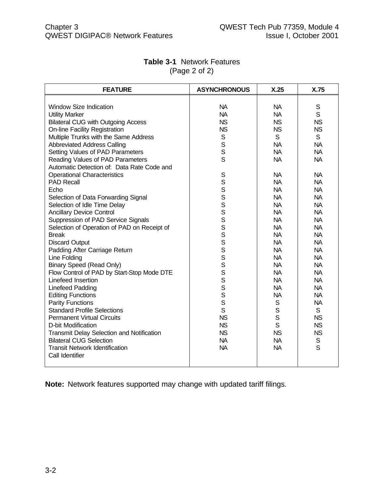| <b>FEATURE</b>                              | <b>ASYNCHRONOUS</b>     | X.25        | X.75        |
|---------------------------------------------|-------------------------|-------------|-------------|
|                                             |                         |             |             |
| <b>Window Size Indication</b>               | <b>NA</b>               | <b>NA</b>   | S           |
| <b>Utility Marker</b>                       | <b>NA</b>               | <b>NA</b>   | S           |
| <b>Bilateral CUG with Outgoing Access</b>   | <b>NS</b>               | <b>NS</b>   | <b>NS</b>   |
| <b>On-line Facility Registration</b>        | <b>NS</b>               | <b>NS</b>   | <b>NS</b>   |
| Multiple Trunks with the Same Address       | S                       | S           | S           |
| <b>Abbreviated Address Calling</b>          | $\mathbf S$             | <b>NA</b>   | <b>NA</b>   |
| Setting Values of PAD Parameters            | S                       | <b>NA</b>   | <b>NA</b>   |
| Reading Values of PAD Parameters            | S                       | <b>NA</b>   | <b>NA</b>   |
| Automatic Detection of: Data Rate Code and  |                         |             |             |
| <b>Operational Characteristics</b>          | S                       | <b>NA</b>   | <b>NA</b>   |
| <b>PAD Recall</b>                           |                         | <b>NA</b>   | <b>NA</b>   |
| Echo                                        |                         | <b>NA</b>   | <b>NA</b>   |
| Selection of Data Forwarding Signal         | S<br>S<br>S<br>S        | <b>NA</b>   | <b>NA</b>   |
| Selection of Idle Time Delay                |                         | <b>NA</b>   | <b>NA</b>   |
| <b>Ancillary Device Control</b>             | $\overline{\mathbf{s}}$ | <b>NA</b>   | <b>NA</b>   |
| Suppression of PAD Service Signals          | S                       | <b>NA</b>   | <b>NA</b>   |
| Selection of Operation of PAD on Receipt of | S                       | <b>NA</b>   | <b>NA</b>   |
| <b>Break</b>                                | S                       | <b>NA</b>   | <b>NA</b>   |
| <b>Discard Output</b>                       | S                       | <b>NA</b>   | <b>NA</b>   |
| Padding After Carriage Return               | S                       | <b>NA</b>   | <b>NA</b>   |
| Line Folding                                | S                       | <b>NA</b>   | <b>NA</b>   |
| <b>Binary Speed (Read Only)</b>             | S                       | <b>NA</b>   | <b>NA</b>   |
| Flow Control of PAD by Start-Stop Mode DTE  | S                       | <b>NA</b>   | <b>NA</b>   |
| Linefeed Insertion                          | S                       | <b>NA</b>   | <b>NA</b>   |
| <b>Linefeed Padding</b>                     | S                       | <b>NA</b>   | <b>NA</b>   |
| <b>Editing Functions</b>                    | S                       | <b>NA</b>   | <b>NA</b>   |
| <b>Parity Functions</b>                     | S                       | S           | <b>NA</b>   |
| <b>Standard Profile Selections</b>          | S                       | $\mathsf S$ | S           |
| <b>Permanent Virtual Circuits</b>           | <b>NS</b>               | $\mathsf S$ | <b>NS</b>   |
| D-bit Modification                          | <b>NS</b>               | S           | <b>NS</b>   |
| Transmit Delay Selection and Notification   | <b>NS</b>               | <b>NS</b>   | <b>NS</b>   |
| <b>Bilateral CUG Selection</b>              | <b>NA</b>               | <b>NA</b>   | $\mathbb S$ |
| <b>Transit Network Identification</b>       | <b>NA</b>               | <b>NA</b>   | S           |
| Call Identifier                             |                         |             |             |
|                                             |                         |             |             |

#### **Table 3-1** Network Features (Page 2 of 2)

**Note:** Network features supported may change with updated tariff filings.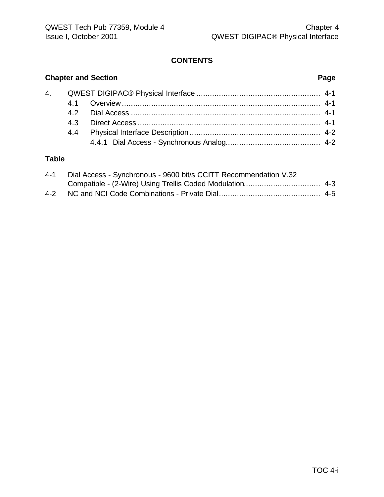# **CONTENTS**

# **Chapter and Section Page**

# **Table**

| $4 - 1$ | Dial Access - Synchronous - 9600 bit/s CCITT Recommendation V.32 |  |
|---------|------------------------------------------------------------------|--|
|         |                                                                  |  |
|         |                                                                  |  |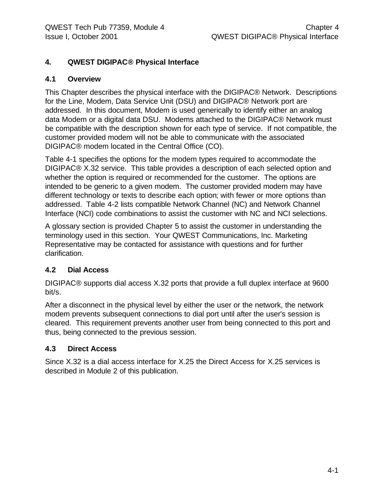# **4. QWEST DIGIPAC® Physical Interface**

#### **4.1 Overview**

This Chapter describes the physical interface with the DIGIPAC® Network. Descriptions for the Line, Modem, Data Service Unit (DSU) and DIGIPAC® Network port are addressed. In this document, Modem is used generically to identify either an analog data Modem or a digital data DSU. Modems attached to the DIGIPAC® Network must be compatible with the description shown for each type of service. If not compatible, the customer provided modem will not be able to communicate with the associated DIGIPAC® modem located in the Central Office (CO).

Table 4-1 specifies the options for the modem types required to accommodate the DIGIPAC® X.32 service. This table provides a description of each selected option and whether the option is required or recommended for the customer. The options are intended to be generic to a given modem. The customer provided modem may have different technology or texts to describe each option; with fewer or more options than addressed. Table 4-2 lists compatible Network Channel (NC) and Network Channel Interface (NCI) code combinations to assist the customer with NC and NCI selections.

A glossary section is provided Chapter 5 to assist the customer in understanding the terminology used in this section. Your QWEST Communications, Inc. Marketing Representative may be contacted for assistance with questions and for further clarification.

#### **4.2 Dial Access**

DIGIPAC® supports dial access X.32 ports that provide a full duplex interface at 9600 bit/s.

After a disconnect in the physical level by either the user or the network, the network modem prevents subsequent connections to dial port until after the user's session is cleared. This requirement prevents another user from being connected to this port and thus, being connected to the previous session.

#### **4.3 Direct Access**

Since X.32 is a dial access interface for X.25 the Direct Access for X.25 services is described in Module 2 of this publication.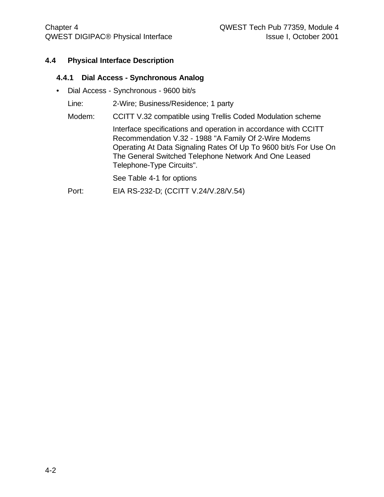#### **4.4 Physical Interface Description**

#### **4.4.1 Dial Access - Synchronous Analog**

• Dial Access - Synchronous - 9600 bit/s

Line: 2-Wire; Business/Residence; 1 party

Modem: CCITT V.32 compatible using Trellis Coded Modulation scheme

Interface specifications and operation in accordance with CCITT Recommendation V.32 - 1988 "A Family Of 2-Wire Modems Operating At Data Signaling Rates Of Up To 9600 bit/s For Use On The General Switched Telephone Network And One Leased Telephone-Type Circuits".

See Table 4-1 for options

Port: EIA RS-232-D; (CCITT V.24/V.28/V.54)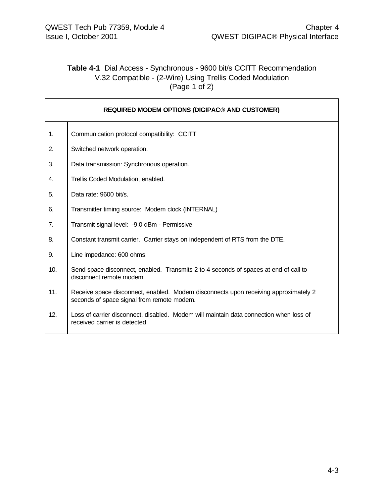### **Table 4-1** Dial Access - Synchronous - 9600 bit/s CCITT Recommendation V.32 Compatible - (2-Wire) Using Trellis Coded Modulation (Page 1 of 2)

|     | <b>REQUIRED MODEM OPTIONS (DIGIPAC® AND CUSTOMER)</b>                                                                             |
|-----|-----------------------------------------------------------------------------------------------------------------------------------|
| 1.  | Communication protocol compatibility: CCITT                                                                                       |
| 2.  | Switched network operation.                                                                                                       |
| 3.  | Data transmission: Synchronous operation.                                                                                         |
| 4.  | Trellis Coded Modulation, enabled.                                                                                                |
| 5.  | Data rate: 9600 bit/s.                                                                                                            |
| 6.  | Transmitter timing source: Modem clock (INTERNAL)                                                                                 |
| 7.  | Transmit signal level: - 9.0 dBm - Permissive.                                                                                    |
| 8.  | Constant transmit carrier. Carrier stays on independent of RTS from the DTE.                                                      |
| 9.  | Line impedance: 600 ohms.                                                                                                         |
| 10. | Send space disconnect, enabled. Transmits 2 to 4 seconds of spaces at end of call to<br>disconnect remote modem.                  |
| 11. | Receive space disconnect, enabled. Modem disconnects upon receiving approximately 2<br>seconds of space signal from remote modem. |
| 12. | Loss of carrier disconnect, disabled. Modem will maintain data connection when loss of<br>received carrier is detected.           |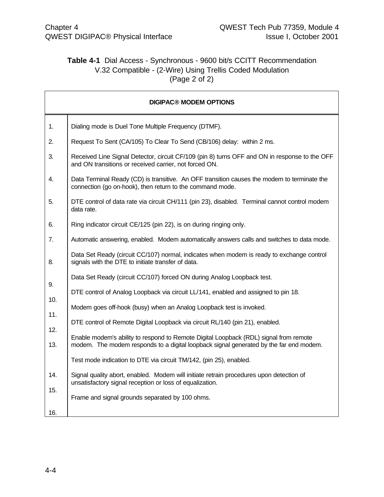# **Table 4-1** Dial Access - Synchronous - 9600 bit/s CCITT Recommendation V.32 Compatible - (2-Wire) Using Trellis Coded Modulation (Page 2 of 2)

|            | <b>DIGIPAC® MODEM OPTIONS</b>                                                                                                                                                   |
|------------|---------------------------------------------------------------------------------------------------------------------------------------------------------------------------------|
| 1.         | Dialing mode is Duel Tone Multiple Frequency (DTMF).                                                                                                                            |
| 2.         | Request To Sent (CA/105) To Clear To Send (CB/106) delay: within 2 ms.                                                                                                          |
| 3.         | Received Line Signal Detector, circuit CF/109 (pin 8) turns OFF and ON in response to the OFF<br>and ON transitions or received carrier, not forced ON.                         |
| 4.         | Data Terminal Ready (CD) is transitive. An OFF transition causes the modem to terminate the<br>connection (go on-hook), then return to the command mode.                        |
| 5.         | DTE control of data rate via circuit CH/111 (pin 23), disabled. Terminal cannot control modem<br>data rate.                                                                     |
| 6.         | Ring indicator circuit CE/125 (pin 22), is on during ringing only.                                                                                                              |
| 7.         | Automatic answering, enabled. Modem automatically answers calls and switches to data mode.                                                                                      |
| 8.         | Data Set Ready (circuit CC/107) normal, indicates when modem is ready to exchange control<br>signals with the DTE to initiate transfer of data.                                 |
|            | Data Set Ready (circuit CC/107) forced ON during Analog Loopback test.                                                                                                          |
| 9.         | DTE control of Analog Loopback via circuit LL/141, enabled and assigned to pin 18.                                                                                              |
| 10.        | Modem goes off-hook (busy) when an Analog Loopback test is invoked.                                                                                                             |
| 11.        | DTE control of Remote Digital Loopback via circuit RL/140 (pin 21), enabled.                                                                                                    |
| 12.<br>13. | Enable modem's ability to respond to Remote Digital Loopback (RDL) signal from remote<br>modem. The modem responds to a digital loopback signal generated by the far end modem. |
|            | Test mode indication to DTE via circuit TM/142, (pin 25), enabled.                                                                                                              |
| 14.        | Signal quality abort, enabled. Modem will initiate retrain procedures upon detection of<br>unsatisfactory signal reception or loss of equalization.                             |
| 15.<br>16. | Frame and signal grounds separated by 100 ohms.                                                                                                                                 |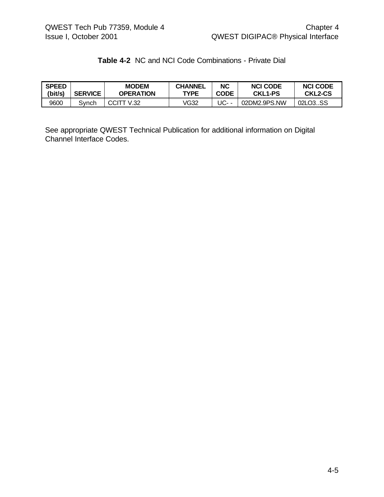# **Table 4-2** NC and NCI Code Combinations - Private Dial

| <b>SPEED</b> | <b>SERVICE</b> | <b>MODEM</b>     | <b>CHANNEL</b> | <b>NC</b>   | <b>NCI CODE</b> | <b>NCI CODE</b> |
|--------------|----------------|------------------|----------------|-------------|-----------------|-----------------|
| (bit/s)      |                | <b>OPERATION</b> | <b>TYPE</b>    | <b>CODE</b> | <b>CKL1-PS</b>  | <b>CKL2-CS</b>  |
| 9600         | Svnch          | CCITT V.32       | /G32           | UC- -       | 02DM2.9PS.NW    | 02LO3SS         |

See appropriate QWEST Technical Publication for additional information on Digital Channel Interface Codes.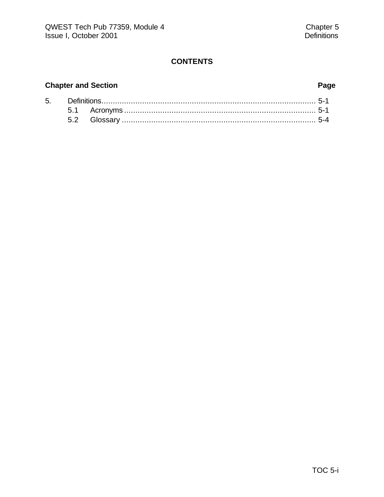# **CONTENTS**

### **Chapter and Section Page**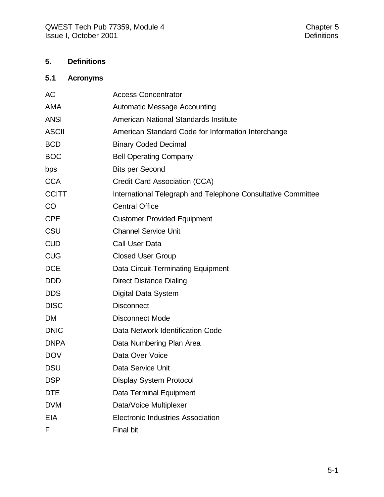# **5. Definitions**

# **5.1 Acronyms**

| AC           | <b>Access Concentrator</b>                                   |
|--------------|--------------------------------------------------------------|
| <b>AMA</b>   | <b>Automatic Message Accounting</b>                          |
| <b>ANSI</b>  | American National Standards Institute                        |
| <b>ASCII</b> | American Standard Code for Information Interchange           |
| <b>BCD</b>   | <b>Binary Coded Decimal</b>                                  |
| <b>BOC</b>   | <b>Bell Operating Company</b>                                |
| bps          | <b>Bits per Second</b>                                       |
| <b>CCA</b>   | Credit Card Association (CCA)                                |
| <b>CCITT</b> | International Telegraph and Telephone Consultative Committee |
| CO           | <b>Central Office</b>                                        |
| <b>CPE</b>   | <b>Customer Provided Equipment</b>                           |
| CSU          | <b>Channel Service Unit</b>                                  |
| <b>CUD</b>   | <b>Call User Data</b>                                        |
| <b>CUG</b>   | <b>Closed User Group</b>                                     |
| <b>DCE</b>   | Data Circuit-Terminating Equipment                           |
| <b>DDD</b>   | <b>Direct Distance Dialing</b>                               |
| <b>DDS</b>   | Digital Data System                                          |
| <b>DISC</b>  | <b>Disconnect</b>                                            |
| <b>DM</b>    | <b>Disconnect Mode</b>                                       |
| <b>DNIC</b>  | Data Network Identification Code                             |
| <b>DNPA</b>  | Data Numbering Plan Area                                     |
| <b>DOV</b>   | Data Over Voice                                              |
| <b>DSU</b>   | Data Service Unit                                            |
| <b>DSP</b>   | <b>Display System Protocol</b>                               |
| <b>DTE</b>   | <b>Data Terminal Equipment</b>                               |
| <b>DVM</b>   | Data/Voice Multiplexer                                       |
| <b>EIA</b>   | <b>Electronic Industries Association</b>                     |
| F            | Final bit                                                    |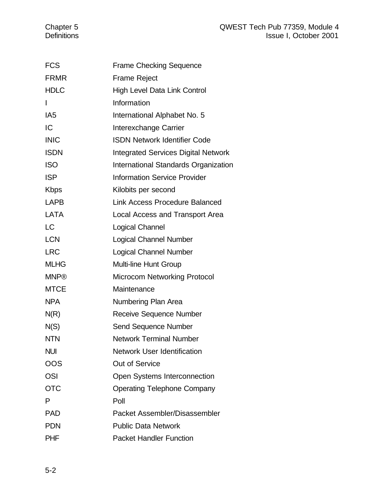| <b>FCS</b>      | <b>Frame Checking Sequence</b>             |
|-----------------|--------------------------------------------|
| <b>FRMR</b>     | <b>Frame Reject</b>                        |
| <b>HDLC</b>     | High Level Data Link Control               |
| I               | Information                                |
| IA <sub>5</sub> | International Alphabet No. 5               |
| IC              | Interexchange Carrier                      |
| <b>INIC</b>     | <b>ISDN Network Identifier Code</b>        |
| <b>ISDN</b>     | <b>Integrated Services Digital Network</b> |
| <b>ISO</b>      | International Standards Organization       |
| <b>ISP</b>      | <b>Information Service Provider</b>        |
| <b>Kbps</b>     | Kilobits per second                        |
| <b>LAPB</b>     | <b>Link Access Procedure Balanced</b>      |
| <b>LATA</b>     | Local Access and Transport Area            |
| <b>LC</b>       | Logical Channel                            |
| <b>LCN</b>      | <b>Logical Channel Number</b>              |
| <b>LRC</b>      | <b>Logical Channel Number</b>              |
| <b>MLHG</b>     | Multi-line Hunt Group                      |
| <b>MNP®</b>     | <b>Microcom Networking Protocol</b>        |
| <b>MTCE</b>     | Maintenance                                |
| <b>NPA</b>      | Numbering Plan Area                        |
| N(R)            | Receive Sequence Number                    |
| N(S)            | <b>Send Sequence Number</b>                |
| <b>NTN</b>      | <b>Network Terminal Number</b>             |
| <b>NUI</b>      | <b>Network User Identification</b>         |
| OOS             | <b>Out of Service</b>                      |
| <b>OSI</b>      | Open Systems Interconnection               |
| <b>OTC</b>      | <b>Operating Telephone Company</b>         |
| Р               | Poll                                       |
| <b>PAD</b>      | Packet Assembler/Disassembler              |
| <b>PDN</b>      | <b>Public Data Network</b>                 |
| <b>PHF</b>      | <b>Packet Handler Function</b>             |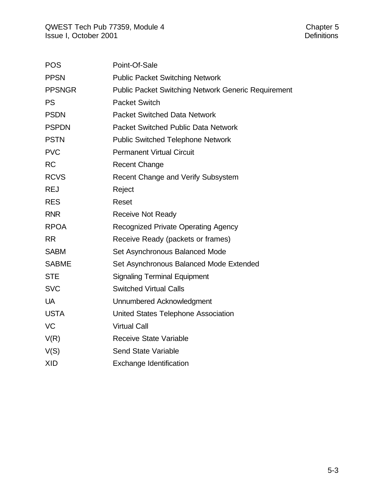| <b>POS</b>    | Point-Of-Sale                                       |
|---------------|-----------------------------------------------------|
| <b>PPSN</b>   | <b>Public Packet Switching Network</b>              |
| <b>PPSNGR</b> | Public Packet Switching Network Generic Requirement |
| <b>PS</b>     | <b>Packet Switch</b>                                |
| <b>PSDN</b>   | <b>Packet Switched Data Network</b>                 |
| <b>PSPDN</b>  | <b>Packet Switched Public Data Network</b>          |
| <b>PSTN</b>   | <b>Public Switched Telephone Network</b>            |
| <b>PVC</b>    | <b>Permanent Virtual Circuit</b>                    |
| <b>RC</b>     | <b>Recent Change</b>                                |
| <b>RCVS</b>   | Recent Change and Verify Subsystem                  |
| <b>REJ</b>    | Reject                                              |
| <b>RES</b>    | Reset                                               |
| <b>RNR</b>    | <b>Receive Not Ready</b>                            |
| <b>RPOA</b>   | <b>Recognized Private Operating Agency</b>          |
| <b>RR</b>     | Receive Ready (packets or frames)                   |
| <b>SABM</b>   | Set Asynchronous Balanced Mode                      |
| <b>SABME</b>  | Set Asynchronous Balanced Mode Extended             |
| <b>STE</b>    | <b>Signaling Terminal Equipment</b>                 |
| <b>SVC</b>    | <b>Switched Virtual Calls</b>                       |
| <b>UA</b>     | Unnumbered Acknowledgment                           |
| <b>USTA</b>   | United States Telephone Association                 |
| VC            | <b>Virtual Call</b>                                 |
| V(R)          | <b>Receive State Variable</b>                       |
| V(S)          | Send State Variable                                 |
| <b>XID</b>    | <b>Exchange Identification</b>                      |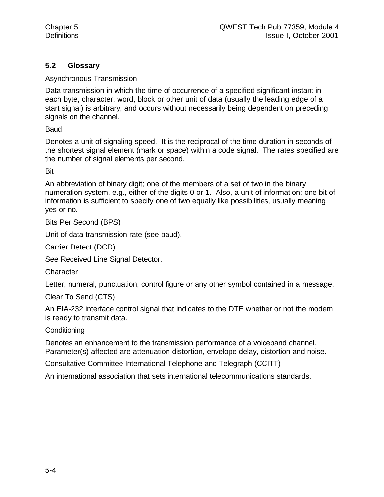### **5.2 Glossary**

Asynchronous Transmission

Data transmission in which the time of occurrence of a specified significant instant in each byte, character, word, block or other unit of data (usually the leading edge of a start signal) is arbitrary, and occurs without necessarily being dependent on preceding signals on the channel.

Baud

Denotes a unit of signaling speed. It is the reciprocal of the time duration in seconds of the shortest signal element (mark or space) within a code signal. The rates specified are the number of signal elements per second.

Bit

An abbreviation of binary digit; one of the members of a set of two in the binary numeration system, e.g., either of the digits 0 or 1. Also, a unit of information; one bit of information is sufficient to specify one of two equally like possibilities, usually meaning yes or no.

Bits Per Second (BPS)

Unit of data transmission rate (see baud).

Carrier Detect (DCD)

See Received Line Signal Detector.

**Character** 

Letter, numeral, punctuation, control figure or any other symbol contained in a message.

Clear To Send (CTS)

An EIA-232 interface control signal that indicates to the DTE whether or not the modem is ready to transmit data.

**Conditioning** 

Denotes an enhancement to the transmission performance of a voiceband channel. Parameter(s) affected are attenuation distortion, envelope delay, distortion and noise.

Consultative Committee International Telephone and Telegraph (CCITT)

An international association that sets international telecommunications standards.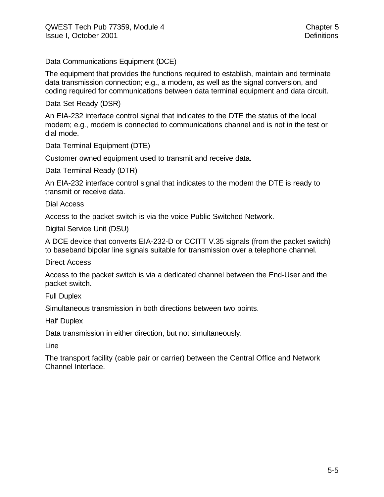Data Communications Equipment (DCE)

The equipment that provides the functions required to establish, maintain and terminate data transmission connection; e.g., a modem, as well as the signal conversion, and coding required for communications between data terminal equipment and data circuit.

Data Set Ready (DSR)

An EIA-232 interface control signal that indicates to the DTE the status of the local modem; e.g., modem is connected to communications channel and is not in the test or dial mode.

Data Terminal Equipment (DTE)

Customer owned equipment used to transmit and receive data.

Data Terminal Ready (DTR)

An EIA-232 interface control signal that indicates to the modem the DTE is ready to transmit or receive data.

Dial Access

Access to the packet switch is via the voice Public Switched Network.

Digital Service Unit (DSU)

A DCE device that converts EIA-232-D or CCITT V.35 signals (from the packet switch) to baseband bipolar line signals suitable for transmission over a telephone channel.

Direct Access

Access to the packet switch is via a dedicated channel between the End-User and the packet switch.

Full Duplex

Simultaneous transmission in both directions between two points.

Half Duplex

Data transmission in either direction, but not simultaneously.

Line

The transport facility (cable pair or carrier) between the Central Office and Network Channel Interface.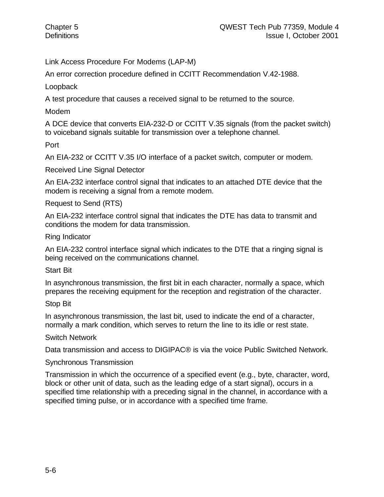Link Access Procedure For Modems (LAP-M)

An error correction procedure defined in CCITT Recommendation V.42-1988.

Loopback

A test procedure that causes a received signal to be returned to the source.

Modem

A DCE device that converts EIA-232-D or CCITT V.35 signals (from the packet switch) to voiceband signals suitable for transmission over a telephone channel.

Port

An EIA-232 or CCITT V.35 I/O interface of a packet switch, computer or modem.

Received Line Signal Detector

An EIA-232 interface control signal that indicates to an attached DTE device that the modem is receiving a signal from a remote modem.

Request to Send (RTS)

An EIA-232 interface control signal that indicates the DTE has data to transmit and conditions the modem for data transmission.

Ring Indicator

An EIA-232 control interface signal which indicates to the DTE that a ringing signal is being received on the communications channel.

Start Bit

In asynchronous transmission, the first bit in each character, normally a space, which prepares the receiving equipment for the reception and registration of the character.

Stop Bit

In asynchronous transmission, the last bit, used to indicate the end of a character, normally a mark condition, which serves to return the line to its idle or rest state.

Switch Network

Data transmission and access to DIGIPAC® is via the voice Public Switched Network.

#### Synchronous Transmission

Transmission in which the occurrence of a specified event (e.g., byte, character, word, block or other unit of data, such as the leading edge of a start signal), occurs in a specified time relationship with a preceding signal in the channel, in accordance with a specified timing pulse, or in accordance with a specified time frame.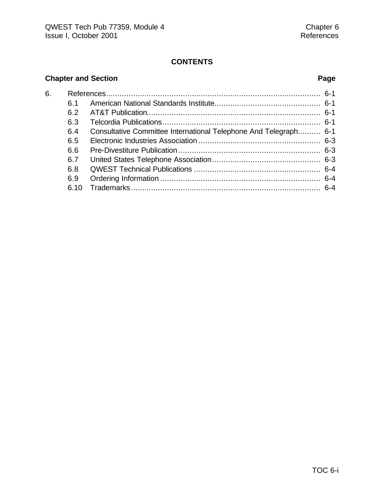### **CONTENTS**

# **Chapter and Section Page**

| 6. |      |                                                                  |  |
|----|------|------------------------------------------------------------------|--|
|    | ჩ 1  |                                                                  |  |
|    | 6.2  |                                                                  |  |
|    | 6.3  |                                                                  |  |
|    | 6.4  | Consultative Committee International Telephone And Telegraph 6-1 |  |
|    | 6.5  |                                                                  |  |
|    | 6.6  |                                                                  |  |
|    | 6.7  |                                                                  |  |
|    | 6.8  |                                                                  |  |
|    | 6.9  |                                                                  |  |
|    | 6.10 |                                                                  |  |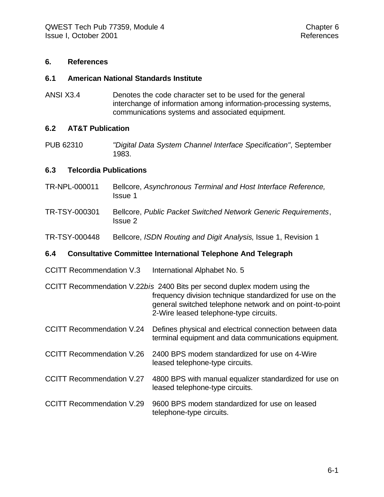#### **6. References**

#### **6.1 American National Standards Institute**

ANSI X3.4 Denotes the code character set to be used for the general interchange of information among information-processing systems, communications systems and associated equipment.

#### **6.2 AT&T Publication**

PUB 62310 *"Digital Data System Channel Interface Specification"*, September 1983.

#### **6.3 Telcordia Publications**

- TR-NPL-000011 Bellcore, *Asynchronous Terminal and Host Interface Reference,* Issue 1
- TR-TSY-000301 Bellcore, *Public Packet Switched Network Generic Requirements*, Issue 2
- TR-TSY-000448 Bellcore, *ISDN Routing and Digit Analysis*, Issue 1, Revision 1

#### **6.4 Consultative Committee International Telephone And Telegraph**

CCITT Recommendation V.3 International Alphabet No. 5

CCITT Recommendation V.22*bis* 2400 Bits per second duplex modem using the frequency division technique standardized for use on the general switched telephone network and on point-to-point 2-Wire leased telephone-type circuits.

- CCITT Recommendation V.24 Defines physical and electrical connection between data terminal equipment and data communications equipment.
- CCITT Recommendation V.26 2400 BPS modem standardized for use on 4-Wire leased telephone-type circuits.
- CCITT Recommendation V.27 4800 BPS with manual equalizer standardized for use on leased telephone-type circuits.
- CCITT Recommendation V.29 9600 BPS modem standardized for use on leased telephone-type circuits.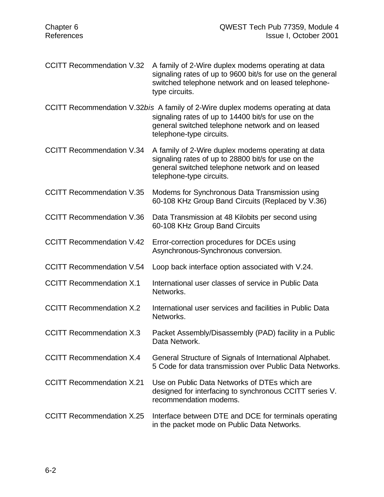- CCITT Recommendation V.32 A family of 2-Wire duplex modems operating at data signaling rates of up to 9600 bit/s for use on the general switched telephone network and on leased telephonetype circuits.
- CCITT Recommendation V.32*bis* A family of 2-Wire duplex modems operating at data signaling rates of up to 14400 bit/s for use on the general switched telephone network and on leased telephone-type circuits.
- CCITT Recommendation V.34 A family of 2-Wire duplex modems operating at data signaling rates of up to 28800 bit/s for use on the general switched telephone network and on leased telephone-type circuits.
- CCITT Recommendation V.35 Modems for Synchronous Data Transmission using 60-108 KHz Group Band Circuits (Replaced by V.36)
- CCITT Recommendation V.36 Data Transmission at 48 Kilobits per second using 60-108 KHz Group Band Circuits
- CCITT Recommendation V.42 Error-correction procedures for DCEs using Asynchronous-Synchronous conversion.
- CCITT Recommendation V.54 Loop back interface option associated with V.24.
- CCITT Recommendation X.1 International user classes of service in Public Data Networks.
- CCITT Recommendation X.2 International user services and facilities in Public Data Networks.
- CCITT Recommendation X.3 Packet Assembly/Disassembly (PAD) facility in a Public Data Network.
- CCITT Recommendation X.4 General Structure of Signals of International Alphabet. 5 Code for data transmission over Public Data Networks.
- CCITT Recommendation X.21 Use on Public Data Networks of DTEs which are designed for interfacing to synchronous CCITT series V. recommendation modems.
- CCITT Recommendation X.25 Interface between DTE and DCE for terminals operating in the packet mode on Public Data Networks.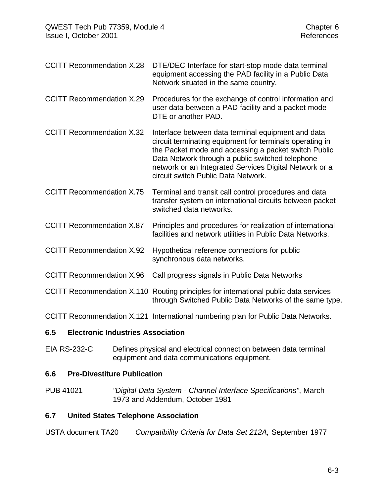CCITT Recommendation X.28 DTE/DEC Interface for start-stop mode data terminal equipment accessing the PAD facility in a Public Data Network situated in the same country.

CCITT Recommendation X.29 Procedures for the exchange of control information and user data between a PAD facility and a packet mode DTE or another PAD.

CCITT Recommendation X.32 Interface between data terminal equipment and data circuit terminating equipment for terminals operating in the Packet mode and accessing a packet switch Public Data Network through a public switched telephone network or an Integrated Services Digital Network or a circuit switch Public Data Network.

CCITT Recommendation X.75 Terminal and transit call control procedures and data transfer system on international circuits between packet switched data networks.

CCITT Recommendation X.87 Principles and procedures for realization of international facilities and network utilities in Public Data Networks.

- CCITT Recommendation X.92 Hypothetical reference connections for public synchronous data networks.
- CCITT Recommendation X.96 Call progress signals in Public Data Networks

CCITT Recommendation X.110 Routing principles for international public data services through Switched Public Data Networks of the same type.

CCITT Recommendation X.121 International numbering plan for Public Data Networks.

#### **6.5 Electronic Industries Association**

EIA RS-232-C Defines physical and electrical connection between data terminal equipment and data communications equipment.

#### **6.6 Pre-Divestiture Publication**

PUB 41021 *"Digital Data System - Channel Interface Specifications"*, March 1973 and Addendum, October 1981

#### **6.7 United States Telephone Association**

USTA document TA20 *Compatibility Criteria for Data Set 212A,* September 1977